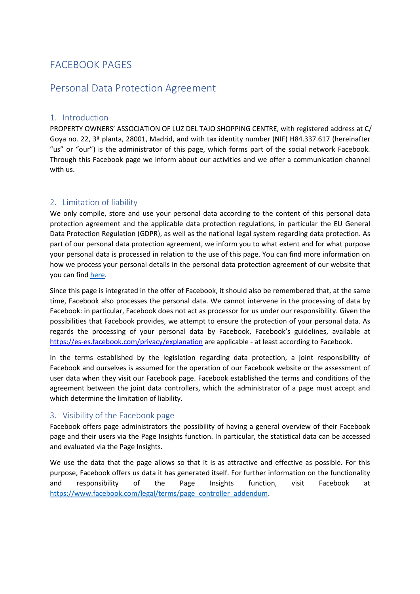# FACEBOOK PAGES

## Personal Data Protection Agreement

#### 1. Introduction

PROPERTY OWNERS' ASSOCIATION OF LUZ DEL TAJO SHOPPING CENTRE, with registered address at C/ Goya no. 22, 3ª planta, 28001, Madrid, and with tax identity number (NIF) H84.337.617 (hereinafter "us" or "our") is the administrator of this page, which forms part of the social network Facebook. Through this Facebook page we inform about our activities and we offer a communication channel with us.

## 2. Limitation of liability

We only compile, store and use your personal data according to the content of this personal data protection agreement and the applicable data protection regulations, in particular the EU General Data Protection Regulation (GDPR), as well as the national legal system regarding data protection. As part of our personal data protection agreement, we inform you to what extent and for what purpose your personal data is processed in relation to the use of this page. You can find more information on how we process your personal details in the personal data protection agreement of our website that you can find [here.](https://www.luzdeltajo.net/wp-content/uploads/gdpr/luzdeltajo.pdf)

Since this page is integrated in the offer of Facebook, it should also be remembered that, at the same time, Facebook also processes the personal data. We cannot intervene in the processing of data by Facebook: in particular, Facebook does not act as processor for us under our responsibility. Given the possibilities that Facebook provides, we attempt to ensure the protection of your personal data. As regards the processing of your personal data by Facebook, Facebook's guidelines, available a[t](https://es-es.facebook.com/privacy/explanation) <https://es-es.facebook.com/privacy/explanation> are applicable - at least according to Facebook.

In the terms established by the legislation regarding data protection, a joint responsibility of Facebook and ourselves is assumed for the operation of our Facebook website or the assessment of user data when they visit our Facebook page. Facebook established the terms and conditions of the agreement between the joint data controllers, which the administrator of a page must accept and which determine the limitation of liability.

## 3. Visibility of the Facebook page

Facebook offers page administrators the possibility of having a general overview of their Facebook page and their users via the Page Insights function. In particular, the statistical data can be accessed and evaluated via the Page Insights.

We use the data that the page allows so that it is as attractive and effective as possible. For this purpose, Facebook offers us data it has generated itself. For further information on the functionality and responsibility of the Page Insights function, visit Facebook at [https://www.facebook.com/legal/terms/page\\_controller\\_addendum.](https://www.facebook.com/legal/terms/page_controller_addendum)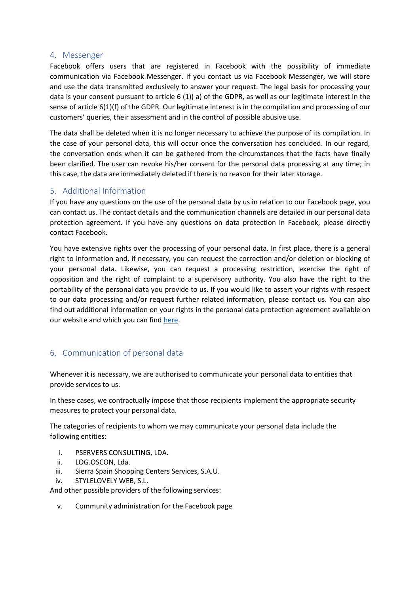#### 4. Messenger

Facebook offers users that are registered in Facebook with the possibility of immediate communication via Facebook Messenger. If you contact us via Facebook Messenger, we will store and use the data transmitted exclusively to answer your request. The legal basis for processing your data is your consent pursuant to article 6 (1)( a) of the GDPR, as well as our legitimate interest in the sense of article 6(1)(f) of the GDPR. Our legitimate interest is in the compilation and processing of our customers' queries, their assessment and in the control of possible abusive use.

The data shall be deleted when it is no longer necessary to achieve the purpose of its compilation. In the case of your personal data, this will occur once the conversation has concluded. In our regard, the conversation ends when it can be gathered from the circumstances that the facts have finally been clarified. The user can revoke his/her consent for the personal data processing at any time; in this case, the data are immediately deleted if there is no reason for their later storage.

## 5. Additional Information

If you have any questions on the use of the personal data by us in relation to our Facebook page, you can contact us. The contact details and the communication channels are detailed in our personal data protection agreement. If you have any questions on data protection in Facebook, please directly contact Facebook.

You have extensive rights over the processing of your personal data. In first place, there is a general right to information and, if necessary, you can request the correction and/or deletion or blocking of your personal data. Likewise, you can request a processing restriction, exercise the right of opposition and the right of complaint to a supervisory authority. You also have the right to the portability of the personal data you provide to us. If you would like to assert your rights with respect to our data processing and/or request further related information, please contact us. You can also find out additional information on your rights in the personal data protection agreement available on our website and which you can find [here.](https://www.luzdeltajo.net/wp-content/uploads/gdpr/luzdeltajo.pdf)

## 6. Communication of personal data

Whenever it is necessary, we are authorised to communicate your personal data to entities that provide services to us.

In these cases, we contractually impose that those recipients implement the appropriate security measures to protect your personal data.

The categories of recipients to whom we may communicate your personal data include the following entities:

- i. PSERVERS CONSULTING, LDA.
- ii. LOG.OSCON, Lda.
- iii. Sierra Spain Shopping Centers Services, S.A.U.
- iv. STYLELOVELY WEB, S.L.

And other possible providers of the following services:

v. Community administration for the Facebook page